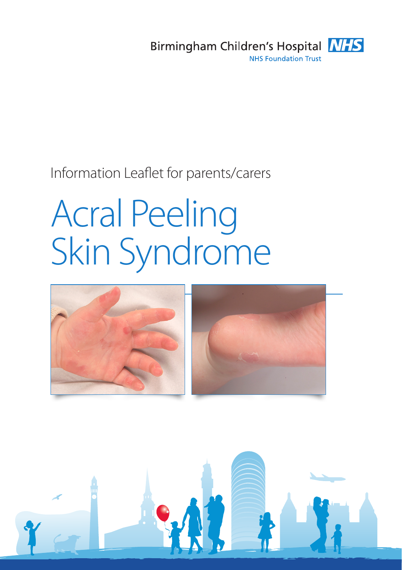

# Information Leaflet for parents/carers

# Acral Peeling Skin Syndrome



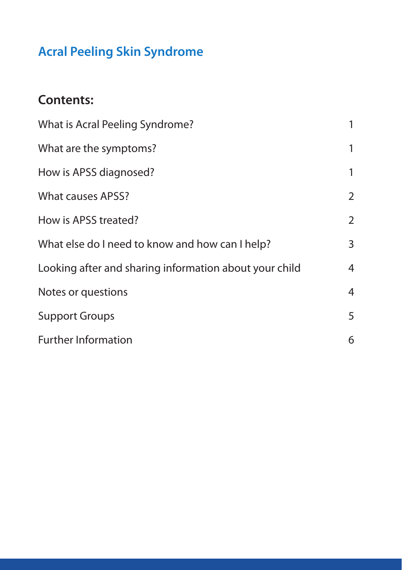# **Acral Peeling Skin Syndrome**

## **Contents:**

| What is Acral Peeling Syndrome?                        | 1              |
|--------------------------------------------------------|----------------|
| What are the symptoms?                                 | 1              |
| How is APSS diagnosed?                                 | 1              |
| <b>What causes APSS?</b>                               | $\overline{2}$ |
| How is APSS treated?                                   | $\overline{2}$ |
| What else do I need to know and how can I help?        | 3              |
| Looking after and sharing information about your child | $\overline{4}$ |
| Notes or questions                                     | 4              |
| <b>Support Groups</b>                                  | 5              |
| <b>Further Information</b>                             | 6              |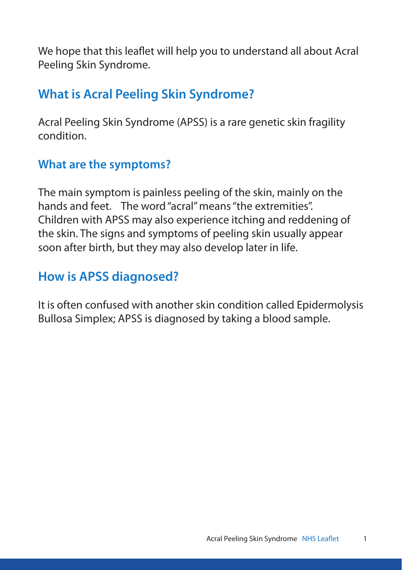We hope that this leaflet will help you to understand all about Acral Peeling Skin Syndrome.

## **What is Acral Peeling Skin Syndrome?**

Acral Peeling Skin Syndrome (APSS) is a rare genetic skin fragility condition.

#### **What are the symptoms?**

The main symptom is painless peeling of the skin, mainly on the hands and feet. The word "acral" means "the extremities". Children with APSS may also experience itching and reddening of the skin. The signs and symptoms of peeling skin usually appear soon after birth, but they may also develop later in life.

# **How is APSS diagnosed?**

It is often confused with another skin condition called Epidermolysis Bullosa Simplex; APSS is diagnosed by taking a blood sample.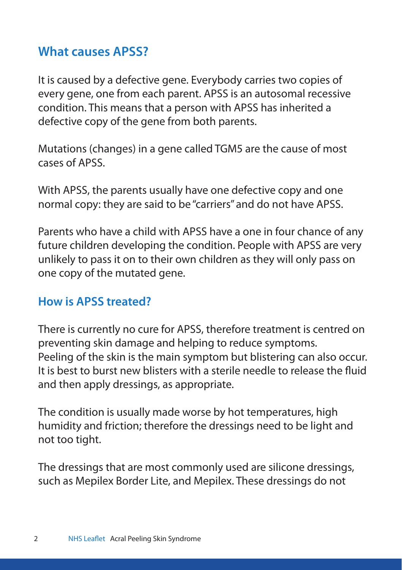#### **What causes APSS?**

It is caused by a defective gene. Everybody carries two copies of every gene, one from each parent. APSS is an autosomal recessive condition. This means that a person with APSS has inherited a defective copy of the gene from both parents.

Mutations (changes) in a gene called TGM5 are the cause of most cases of APSS.

With APSS, the parents usually have one defective copy and one normal copy: they are said to be "carriers" and do not have APSS.

Parents who have a child with APSS have a one in four chance of any future children developing the condition. People with APSS are very unlikely to pass it on to their own children as they will only pass on one copy of the mutated gene.

#### **How is APSS treated?**

There is currently no cure for APSS, therefore treatment is centred on preventing skin damage and helping to reduce symptoms. Peeling of the skin is the main symptom but blistering can also occur. It is best to burst new blisters with a sterile needle to release the fluid and then apply dressings, as appropriate.

The condition is usually made worse by hot temperatures, high humidity and friction; therefore the dressings need to be light and not too tight.

The dressings that are most commonly used are silicone dressings, such as Mepilex Border Lite, and Mepilex. These dressings do not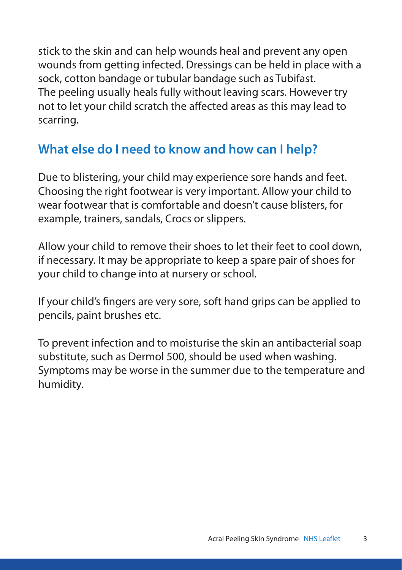stick to the skin and can help wounds heal and prevent any open wounds from getting infected. Dressings can be held in place with a sock, cotton bandage or tubular bandage such as Tubifast. The peeling usually heals fully without leaving scars. However try not to let your child scratch the affected areas as this may lead to scarring.

### **What else do I need to know and how can I help?**

Due to blistering, your child may experience sore hands and feet. Choosing the right footwear is very important. Allow your child to wear footwear that is comfortable and doesn't cause blisters, for example, trainers, sandals, Crocs or slippers.

Allow your child to remove their shoes to let their feet to cool down, if necessary. It may be appropriate to keep a spare pair of shoes for your child to change into at nursery or school.

If your child's fingers are very sore, soft hand grips can be applied to pencils, paint brushes etc.

To prevent infection and to moisturise the skin an antibacterial soap substitute, such as Dermol 500, should be used when washing. Symptoms may be worse in the summer due to the temperature and humidity.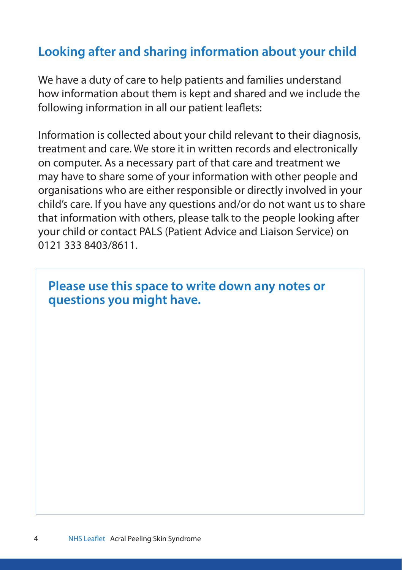## **Looking after and sharing information about your child**

We have a duty of care to help patients and families understand how information about them is kept and shared and we include the following information in all our patient leaflets:

Information is collected about your child relevant to their diagnosis, treatment and care. We store it in written records and electronically on computer. As a necessary part of that care and treatment we may have to share some of your information with other people and organisations who are either responsible or directly involved in your child's care. If you have any questions and/or do not want us to share that information with others, please talk to the people looking after your child or contact PALS (Patient Advice and Liaison Service) on 0121 333 8403/8611.

#### **Please use this space to write down any notes or questions you might have.**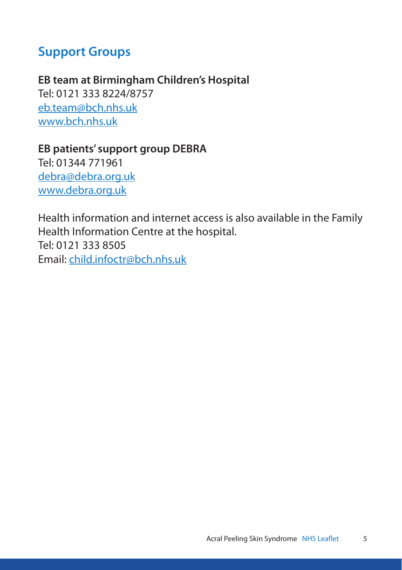#### **Support Groups**

**EB team at Birmingham Children's Hospital** Tel: 0121 333 8224/8757 eb.team@bch.nhs.uk www.bch.nhs.uk

**EB patients' support group DEBRA** Tel: 01344 771961 debra@debra.org.uk www.debra.org.uk

Health information and internet access is also available in the Family Health Information Centre at the hospital. Tel: 0121 333 8505 Email: child.infoctr@bch.nhs.uk